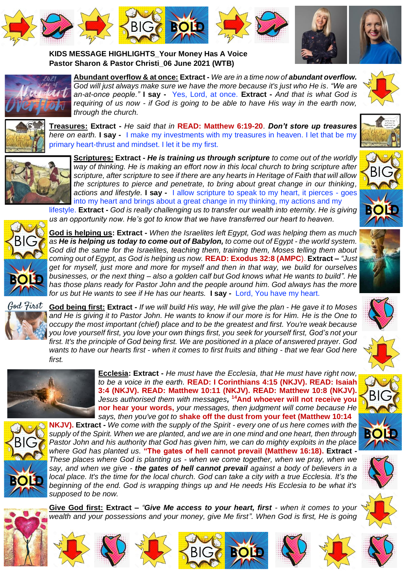







**KIDS MESSAGE HIGHLIGHTS\_Your Money Has A Voice Pastor Sharon & Pastor Christi\_06 June 2021 (WTB)**



**Abundant overflow & at once: Extract -** *We are in a time now of abundant overflow. God will just always make sure we have the more because it's just who He is. "We are an-at-once people."* **I say -** Yes, Lord, at once. **Extract -** *And that is what God is requiring of us now - if God is going to be able to have His way in the earth now, through the church.*



**Treasures: Extract -** *He said that in* **READ: Matthew 6:19-20**. *Don't store up treasures here on earth.* **I say -** I make my investments with my treasures in heaven. I let that be my primary heart-thrust and mindset. I let it be my first.



**Scriptures: Extract -** *He is training us through scripture to come out of the worldly way of thinking. He is making an effort now in this local church to bring scripture after scripture, after scripture to see if there are any hearts in Heritage of Faith that will allow the scriptures to pierce and penetrate, to bring about great change in our thinking, actions and lifestyle.* **I say -** I allow scripture to speak to my heart, it pierces - goes into my heart and brings about a great change in my thinking, my actions and my

lifestyle. **Extract -** *God is really challenging us to transfer our wealth into eternity. He is giving us an opportunity now. He's got to know that we have transferred our heart to heaven.*



**God is helping us: Extract -** *When the Israelites left Egypt, God was helping them as much as He is helping us today to come out of Babylon, to come out of Egypt - the world system. God did the same for the Israelites, teaching them, training them, Moses telling them about coming out of Egypt, as God is helping us now.* **READ: Exodus 32:8 (AMPC**). **Extract –** *"Just get for myself, just more and more for myself and then in that way, we build for ourselves businesses, or the next thing – also a golden calf but God knows what He wants to build". He has those plans ready for Pastor John and the people around him. God always has the more for us but He wants to see if He has our hearts.* **I say -** Lord, You have my heart.



**God being first: Extract** *- If we will build His way, He will give the plan - He gave it to Moses and He is giving it to Pastor John. He wants to know if our more is for Him. He is the One to occupy the most important (chief) place and to be the greatest and first. You're weak because you love yourself first, you love your own things first, you seek for yourself first, God's not your first. It's the principle of God being first. We are positioned in a place of answered prayer. God wants to have our hearts first - when it comes to first fruits and tithing - that we fear God here first.*



**Ecclesia: Extract -** *He must have the Ecclesia, that He must have right now, to be a voice in the earth.* **READ: I Corinthians 4:15 (NKJV). READ: Isaiah 3:4 (NKJV). READ: Matthew 10:11 (NKJV). READ: Matthew 10:8 (NKJV).** *Jesus authorised them with messages,*  **<sup>14</sup>And whoever will not receive you nor hear your words,** *your messages, then judgment will come because He says, then you've got to* **shake off the dust from your feet (Matthew 10:14** 



**NKJV). Extract -** *We come with the supply of the Spirit - every one of us here comes with the supply of the Spirit. When we are planted, and we are in one mind and one heart, then through Pastor John and his authority that God has given him, we can do mighty exploits in the place where God has planted us.* **"The gates of hell cannot prevail (Matthew 16:18). Extract -** *These places where God is planting us - when we come together, when we pray, when we say, and when we give - the gates of hell cannot prevail against a body of believers in a local place. It's the time for the local church. God can take a city with a true Ecclesia. It's the beginning of the end. God is wrapping things up and He needs His Ecclesia to be what it's supposed to be now.*



**Give God first: Extract –** *"Give Me access to your heart, first - when it comes to your*  wealth and your possessions and your money, give Me first". When God is first, He is going

**BIG <b>BOLD** 





BIG











1